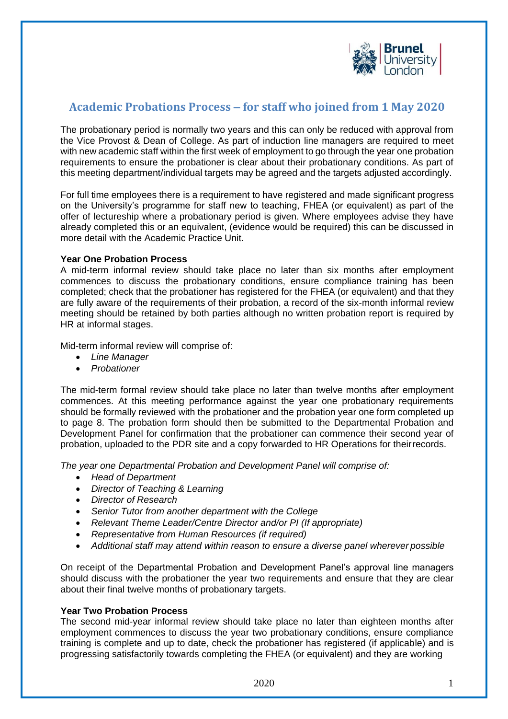

# **Academic Probations Process – for staff who joined from 1 May 2020**

The probationary period is normally two years and this can only be reduced with approval from the Vice Provost & Dean of College. As part of induction line managers are required to meet with new academic staff within the first week of employment to go through the year one probation requirements to ensure the probationer is clear about their probationary conditions. As part of this meeting department/individual targets may be agreed and the targets adjusted accordingly.

For full time employees there is a requirement to have registered and made significant progress on the University's programme for staff new to teaching, FHEA (or equivalent) as part of the offer of lectureship where a probationary period is given. Where employees advise they have already completed this or an equivalent, (evidence would be required) this can be discussed in more detail with the Academic Practice Unit.

## **Year One Probation Process**

A mid-term informal review should take place no later than six months after employment commences to discuss the probationary conditions, ensure compliance training has been completed; check that the probationer has registered for the FHEA (or equivalent) and that they are fully aware of the requirements of their probation, a record of the six-month informal review meeting should be retained by both parties although no written probation report is required by HR at informal stages.

Mid-term informal review will comprise of:

- *Line Manager*
- *Probationer*

The mid-term formal review should take place no later than twelve months after employment commences. At this meeting performance against the year one probationary requirements should be formally reviewed with the probationer and the probation year one form completed up to page 8. The probation form should then be submitted to the Departmental Probation and Development Panel for confirmation that the probationer can commence their second year of probation, uploaded to the PDR site and a copy forwarded to HR Operations for theirrecords.

*The year one Departmental Probation and Development Panel will comprise of:*

- *Head of Department*
- *Director of Teaching & Learning*
- *Director of Research*
- *Senior Tutor from another department with the College*
- *Relevant Theme Leader/Centre Director and/or PI (If appropriate)*
- *Representative from Human Resources (if required)*
- Additional staff may attend within reason to ensure a diverse panel wherever possible

On receipt of the Departmental Probation and Development Panel's approval line managers should discuss with the probationer the year two requirements and ensure that they are clear about their final twelve months of probationary targets.

# **Year Two Probation Process**

The second mid-year informal review should take place no later than eighteen months after employment commences to discuss the year two probationary conditions, ensure compliance training is complete and up to date, check the probationer has registered (if applicable) and is progressing satisfactorily towards completing the FHEA (or equivalent) and they are working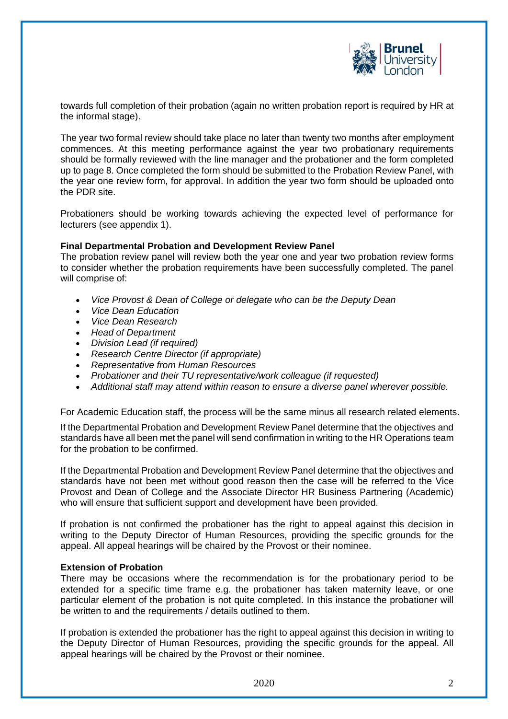

towards full completion of their probation (again no written probation report is required by HR at the informal stage).

The year two formal review should take place no later than twenty two months after employment commences. At this meeting performance against the year two probationary requirements should be formally reviewed with the line manager and the probationer and the form completed up to page 8. Once completed the form should be submitted to the Probation Review Panel, with the year one review form, for approval. In addition the year two form should be uploaded onto the PDR site.

Probationers should be working towards achieving the expected level of performance for lecturers (see appendix 1).

#### **Final Departmental Probation and Development Review Panel**

The probation review panel will review both the year one and year two probation review forms to consider whether the probation requirements have been successfully completed. The panel will comprise of:

- *Vice Provost & Dean of College or delegate who can be the Deputy Dean*
- *Vice Dean Education*
- *Vice Dean Research*
- *Head of Department*
- *Division Lead (if required)*
- *Research Centre Director (if appropriate)*
- *Representative from Human Resources*
- *Probationer and their TU representative/work colleague (if requested)*
- *Additional staff may attend within reason to ensure a diverse panel wherever possible.*

For Academic Education staff, the process will be the same minus all research related elements.

If the Departmental Probation and Development Review Panel determine that the objectives and standards have all been met the panel will send confirmation in writing to the HR Operations team for the probation to be confirmed.

If the Departmental Probation and Development Review Panel determine that the objectives and standards have not been met without good reason then the case will be referred to the Vice Provost and Dean of College and the Associate Director HR Business Partnering (Academic) who will ensure that sufficient support and development have been provided.

If probation is not confirmed the probationer has the right to appeal against this decision in writing to the Deputy Director of Human Resources, providing the specific grounds for the appeal. All appeal hearings will be chaired by the Provost or their nominee.

#### **Extension of Probation**

There may be occasions where the recommendation is for the probationary period to be extended for a specific time frame e.g. the probationer has taken maternity leave, or one particular element of the probation is not quite completed. In this instance the probationer will be written to and the requirements / details outlined to them.

If probation is extended the probationer has the right to appeal against this decision in writing to the Deputy Director of Human Resources, providing the specific grounds for the appeal. All appeal hearings will be chaired by the Provost or their nominee.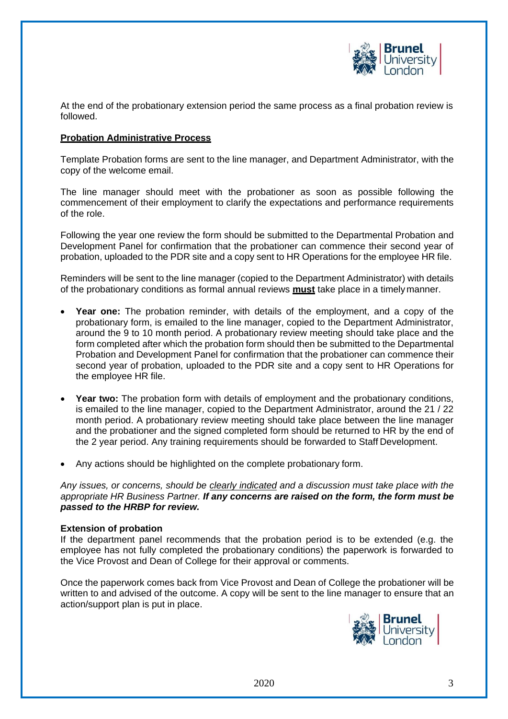

At the end of the probationary extension period the same process as a final probation review is followed.

### **Probation Administrative Process**

Template Probation forms are sent to the line manager, and Department Administrator, with the copy of the welcome email.

The line manager should meet with the probationer as soon as possible following the commencement of their employment to clarify the expectations and performance requirements of the role.

Following the year one review the form should be submitted to the Departmental Probation and Development Panel for confirmation that the probationer can commence their second year of probation, uploaded to the PDR site and a copy sent to HR Operations for the employee HR file.

Reminders will be sent to the line manager (copied to the Department Administrator) with details of the probationary conditions as formal annual reviews **must** take place in a timely manner.

- **Year one:** The probation reminder, with details of the employment, and a copy of the probationary form, is emailed to the line manager, copied to the Department Administrator, around the 9 to 10 month period. A probationary review meeting should take place and the form completed after which the probation form should then be submitted to the Departmental Probation and Development Panel for confirmation that the probationer can commence their second year of probation, uploaded to the PDR site and a copy sent to HR Operations for the employee HR file.
- **Year two:** The probation form with details of employment and the probationary conditions, is emailed to the line manager, copied to the Department Administrator, around the 21 / 22 month period. A probationary review meeting should take place between the line manager and the probationer and the signed completed form should be returned to HR by the end of the 2 year period. Any training requirements should be forwarded to Staff Development.
- Any actions should be highlighted on the complete probationary form.

*Any issues, or concerns, should be clearly indicated and a discussion must take place with the appropriate HR Business Partner. If any concerns are raised on the form, the form must be passed to the HRBP for review.*

#### **Extension of probation**

If the department panel recommends that the probation period is to be extended (e.g. the employee has not fully completed the probationary conditions) the paperwork is forwarded to the Vice Provost and Dean of College for their approval or comments.

Once the paperwork comes back from Vice Provost and Dean of College the probationer will be written to and advised of the outcome. A copy will be sent to the line manager to ensure that an action/support plan is put in place.

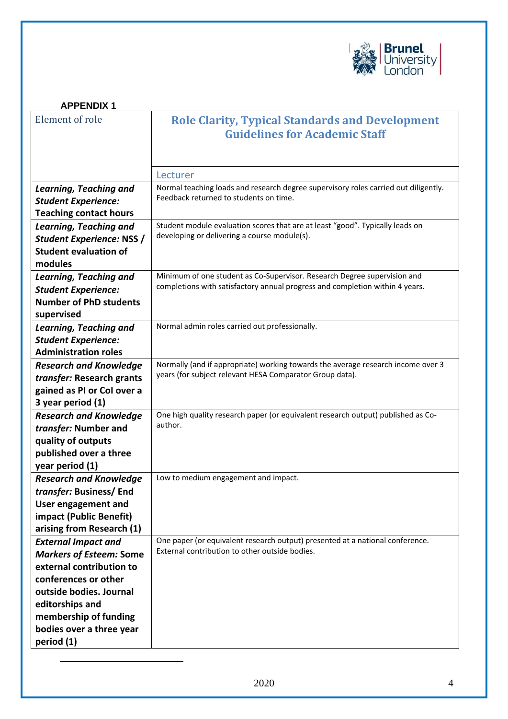

<span id="page-3-0"></span>

| <b>APPENDIX1</b>                                     |                                                                                                |
|------------------------------------------------------|------------------------------------------------------------------------------------------------|
| Element of role                                      | <b>Role Clarity, Typical Standards and Development</b><br><b>Guidelines for Academic Staff</b> |
|                                                      |                                                                                                |
|                                                      | Lecturer                                                                                       |
| <b>Learning, Teaching and</b>                        | Normal teaching loads and research degree supervisory roles carried out diligently.            |
| <b>Student Experience:</b>                           | Feedback returned to students on time.                                                         |
| <b>Teaching contact hours</b>                        |                                                                                                |
| Learning, Teaching and                               | Student module evaluation scores that are at least "good". Typically leads on                  |
| <b>Student Experience: NSS /</b>                     | developing or delivering a course module(s).                                                   |
| <b>Student evaluation of</b>                         |                                                                                                |
| modules                                              |                                                                                                |
| <b>Learning, Teaching and</b>                        | Minimum of one student as Co-Supervisor. Research Degree supervision and                       |
| <b>Student Experience:</b>                           | completions with satisfactory annual progress and completion within 4 years.                   |
| <b>Number of PhD students</b>                        |                                                                                                |
| supervised                                           | Normal admin roles carried out professionally.                                                 |
| Learning, Teaching and<br><b>Student Experience:</b> |                                                                                                |
| <b>Administration roles</b>                          |                                                                                                |
| <b>Research and Knowledge</b>                        | Normally (and if appropriate) working towards the average research income over 3               |
| transfer: Research grants                            | years (for subject relevant HESA Comparator Group data).                                       |
| gained as PI or Col over a                           |                                                                                                |
| 3 year period (1)                                    |                                                                                                |
| <b>Research and Knowledge</b>                        | One high quality research paper (or equivalent research output) published as Co-               |
| transfer: Number and                                 | author.                                                                                        |
| quality of outputs                                   |                                                                                                |
| published over a three                               |                                                                                                |
| year period (1)                                      |                                                                                                |
| <b>Research and Knowledge</b>                        | Low to medium engagement and impact.                                                           |
| transfer: Business/End                               |                                                                                                |
| User engagement and                                  |                                                                                                |
| impact (Public Benefit)<br>arising from Research (1) |                                                                                                |
| <b>External Impact and</b>                           | One paper (or equivalent research output) presented at a national conference.                  |
| <b>Markers of Esteem: Some</b>                       | External contribution to other outside bodies.                                                 |
| external contribution to                             |                                                                                                |
| conferences or other                                 |                                                                                                |
| outside bodies. Journal                              |                                                                                                |
| editorships and                                      |                                                                                                |
| membership of funding                                |                                                                                                |
| bodies over a three year                             |                                                                                                |
| period (1)                                           |                                                                                                |